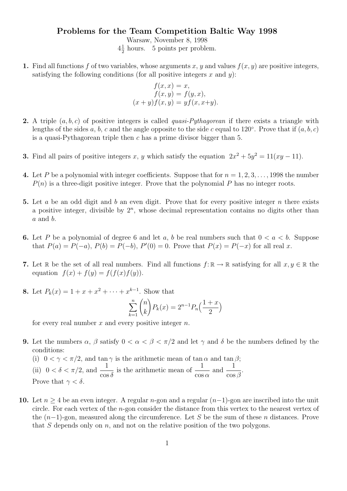## Problems for the Team Competition Baltic Way 1998

Warsaw, November 8, 1998  $4\frac{1}{2}$  $\frac{1}{2}$  hours. 5 points per problem.

1. Find all functions f of two variables, whose arguments x, y and values  $f(x, y)$  are positive integers, satisfying the following conditions (for all positive integers  $x$  and  $y$ ):

$$
f(x, x) = x,
$$
  
\n
$$
f(x, y) = f(y, x),
$$
  
\n
$$
(x + y)f(x, y) = yf(x, x+y).
$$

- **2.** A triple  $(a, b, c)$  of positive integers is called *quasi-Pythagorean* if there exists a triangle with lengths of the sides a, b, c and the angle opposite to the side c equal to 120°. Prove that if  $(a, b, c)$ is a quasi-Pythagorean triple then  $c$  has a prime divisor bigger than 5.
- **3.** Find all pairs of positive integers x, y which satisfy the equation  $2x^2 + 5y^2 = 11(xy 11)$ .
- 4. Let P be a polynomial with integer coefficients. Suppose that for  $n = 1, 2, 3, \ldots, 1998$  the number  $P(n)$  is a three-digit positive integer. Prove that the polynomial P has no integer roots.
- 5. Let a be an odd digit and b an even digit. Prove that for every positive integer n there exists a positive integer, divisible by  $2^n$ , whose decimal representation contains no digits other than  $a$  and  $b$ .
- 6. Let P be a polynomial of degree 6 and let a, b be real numbers such that  $0 < a < b$ . Suppose that  $P(a) = P(-a)$ ,  $P(b) = P(-b)$ ,  $P'(0) = 0$ . Prove that  $P(x) = P(-x)$  for all real x.
- 7. Let R be the set of all real numbers. Find all functions  $f: \mathbb{R} \to \mathbb{R}$  satisfying for all  $x, y \in \mathbb{R}$  the equation  $f(x) + f(y) = f(f(x)f(y)).$
- 8. Let  $P_k(x) = 1 + x + x^2 + \cdots + x^{k-1}$ . Show that

$$
\sum_{k=1}^{n} {n \choose k} P_k(x) = 2^{n-1} P_n\left(\frac{1+x}{2}\right)
$$

for every real number  $x$  and every positive integer  $n$ .

- 9. Let the numbers  $\alpha$ ,  $\beta$  satisfy  $0 < \alpha < \beta < \pi/2$  and let  $\gamma$  and  $\delta$  be the numbers defined by the conditions:
	- (i)  $0 < \gamma < \pi/2$ , and tan  $\gamma$  is the arithmetic mean of tan  $\alpha$  and tan  $\beta$ ; (ii)  $0 < \delta < \pi/2$ , and  $\frac{1}{\pi}$  $\cos \delta$ is the arithmetic mean of  $\frac{1}{1}$  $\cos \alpha$ and  $\frac{1}{\ }$  $\cos\beta$ . Prove that  $\gamma < \delta$ .
- 10. Let  $n \geq 4$  be an even integer. A regular n-gon and a regular  $(n-1)$ -gon are inscribed into the unit circle. For each vertex of the  $n$ -gon consider the distance from this vertex to the nearest vertex of the  $(n-1)$ -gon, measured along the circumference. Let S be the sum of these n distances. Prove that S depends only on n, and not on the relative position of the two polygons.